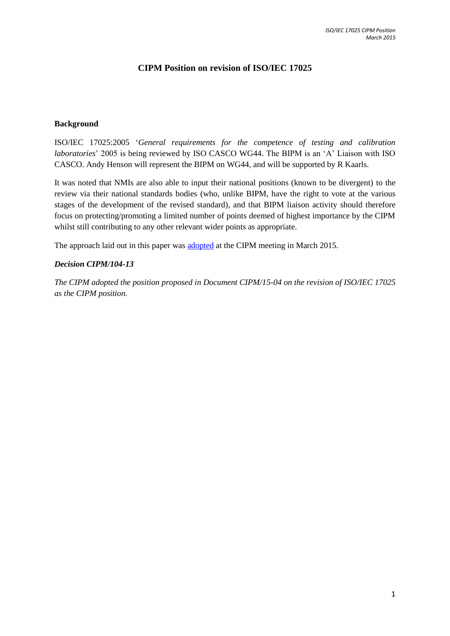## **CIPM Position on revision of ISO/IEC 17025**

## **Background**

ISO/IEC 17025:2005 '*General requirements for the competence of testing and calibration laboratories*' 2005 is being reviewed by ISO CASCO WG44. The BIPM is an 'A' Liaison with ISO CASCO. Andy Henson will represent the BIPM on WG44, and will be supported by R Kaarls.

It was noted that NMIs are also able to input their national positions (known to be divergent) to the review via their national standards bodies (who, unlike BIPM, have the right to vote at the various stages of the development of the revised standard), and that BIPM liaison activity should therefore focus on protecting/promoting a limited number of points deemed of highest importance by the CIPM whilst still contributing to any other relevant wider points as appropriate.

The approach laid out in this paper was [adopted](https://www.bipm.org/en/committees/cipm/) at the CIPM meeting in March 2015.

## *Decision CIPM/104-13*

*The CIPM adopted the position proposed in Document CIPM/15-04 on the revision of ISO/IEC 17025 as the CIPM position.*